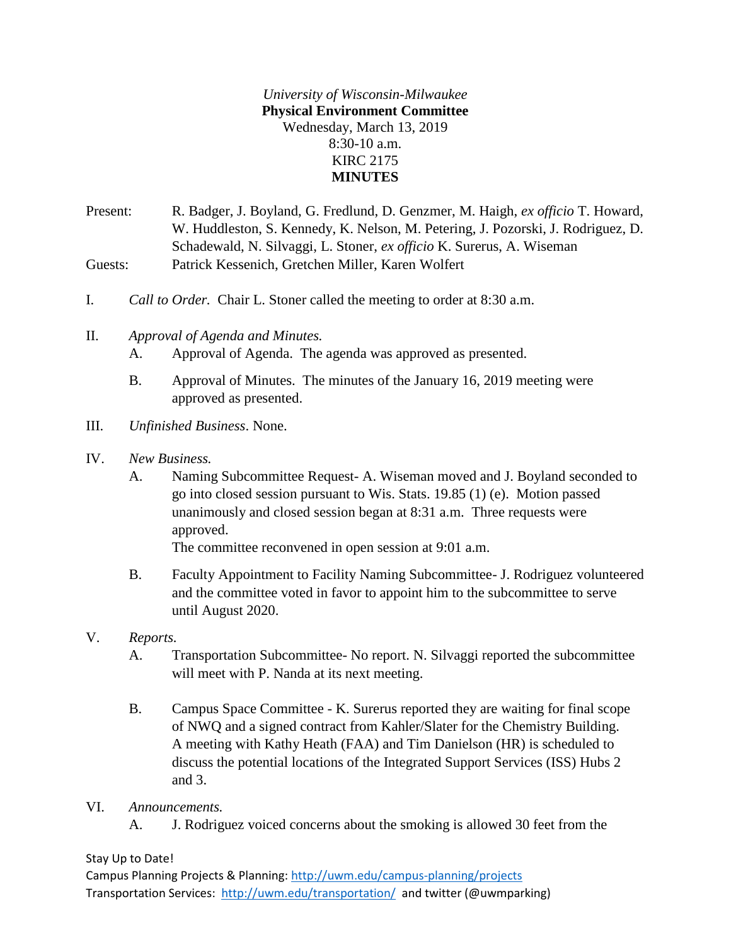*University of Wisconsin-Milwaukee* **Physical Environment Committee** Wednesday, March 13, 2019 8:30-10 a.m. KIRC 2175 **MINUTES**

Present: R. Badger, J. Boyland, G. Fredlund, D. Genzmer, M. Haigh, *ex officio* T. Howard, W. Huddleston, S. Kennedy, K. Nelson, M. Petering, J. Pozorski, J. Rodriguez, D. Schadewald, N. Silvaggi, L. Stoner, *ex officio* K. Surerus, A. Wiseman Guests: Patrick Kessenich, Gretchen Miller, Karen Wolfert

- I. *Call to Order.* Chair L. Stoner called the meeting to order at 8:30 a.m.
- II. *Approval of Agenda and Minutes.*
	- A. Approval of Agenda. The agenda was approved as presented.
	- B. Approval of Minutes. The minutes of the January 16, 2019 meeting were approved as presented.
- III. *Unfinished Business*. None.
- IV. *New Business.*
	- A. Naming Subcommittee Request- A. Wiseman moved and J. Boyland seconded to go into closed session pursuant to Wis. Stats. 19.85 (1) (e). Motion passed unanimously and closed session began at 8:31 a.m. Three requests were approved.

The committee reconvened in open session at 9:01 a.m.

- B. Faculty Appointment to Facility Naming Subcommittee- J. Rodriguez volunteered and the committee voted in favor to appoint him to the subcommittee to serve until August 2020.
- V. *Reports.*
	- A. Transportation Subcommittee- No report. N. Silvaggi reported the subcommittee will meet with P. Nanda at its next meeting.
	- B. Campus Space Committee K. Surerus reported they are waiting for final scope of NWQ and a signed contract from Kahler/Slater for the Chemistry Building. A meeting with Kathy Heath (FAA) and Tim Danielson (HR) is scheduled to discuss the potential locations of the Integrated Support Services (ISS) Hubs 2 and 3.
- VI. *Announcements.*
	- A. J. Rodriguez voiced concerns about the smoking is allowed 30 feet from the

## Stay Up to Date!